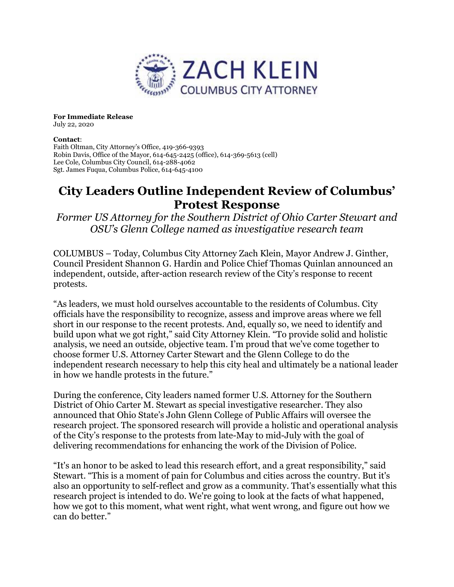

For Immediate Release July 22, 2020

## Contact:

Faith Oltman, City Attorney's Office, 419-366-9393 Robin Davis, Office of the Mayor, 614-645-2425 (office), 614-369-5613 (cell) Lee Cole, Columbus City Council, 614-288-4062 Sgt. James Fuqua, Columbus Police, 614-645-4100

## City Leaders Outline Independent Review of Columbus' Protest Response

Former US Attorney for the Southern District of Ohio Carter Stewart and OSU's Glenn College named as investigative research team

COLUMBUS – Today, Columbus City Attorney Zach Klein, Mayor Andrew J. Ginther, Council President Shannon G. Hardin and Police Chief Thomas Quinlan announced an independent, outside, after-action research review of the City's response to recent protests.

"As leaders, we must hold ourselves accountable to the residents of Columbus. City officials have the responsibility to recognize, assess and improve areas where we fell short in our response to the recent protests. And, equally so, we need to identify and build upon what we got right," said City Attorney Klein. "To provide solid and holistic analysis, we need an outside, objective team. I'm proud that we've come together to choose former U.S. Attorney Carter Stewart and the Glenn College to do the independent research necessary to help this city heal and ultimately be a national leader in how we handle protests in the future."

During the conference, City leaders named former U.S. Attorney for the Southern District of Ohio Carter M. Stewart as special investigative researcher. They also announced that Ohio State's John Glenn College of Public Affairs will oversee the research project. The sponsored research will provide a holistic and operational analysis of the City's response to the protests from late-May to mid-July with the goal of delivering recommendations for enhancing the work of the Division of Police.

"It's an honor to be asked to lead this research effort, and a great responsibility," said Stewart. "This is a moment of pain for Columbus and cities across the country. But it's also an opportunity to self-reflect and grow as a community. That's essentially what this research project is intended to do. We're going to look at the facts of what happened, how we got to this moment, what went right, what went wrong, and figure out how we can do better."